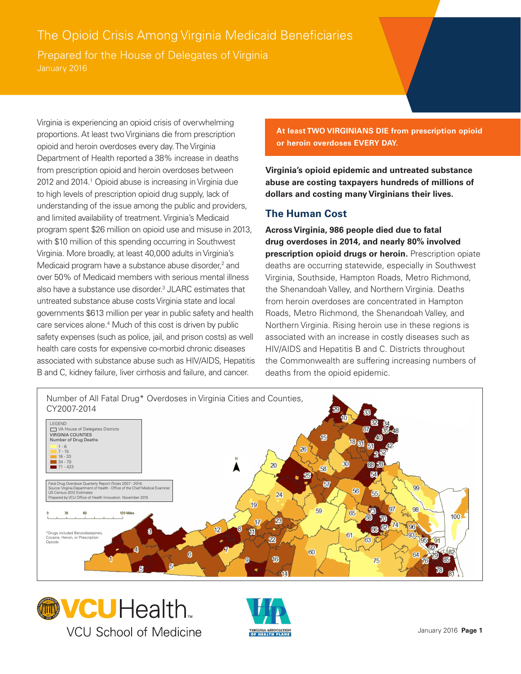## The Opioid Crisis Among Virginia Medicaid Beneficiaries

Prepared for the House of Delegates of Virginia

Virginia is experiencing an opioid crisis of overwhelming proportions. At least two Virginians die from prescription opioid and heroin overdoses every day. The Virginia Department of Health reported a 38% increase in deaths from prescription opioid and heroin overdoses between 2012 and 2014.<sup>1</sup> Opioid abuse is increasing in Virginia due to high levels of prescription opioid drug supply, lack of understanding of the issue among the public and providers, and limited availability of treatment. Virginia's Medicaid program spent \$26 million on opioid use and misuse in 2013, with \$10 million of this spending occurring in Southwest Virginia. More broadly, at least 40,000 adults in Virginia's Medicaid program have a substance abuse disorder,<sup>2</sup> and over 50% of Medicaid members with serious mental illness also have a substance use disorder.<sup>3</sup> JLARC estimates that untreated substance abuse costs Virginia state and local governments \$613 million per year in public safety and health care services alone.<sup>4</sup> Much of this cost is driven by public safety expenses (such as police, jail, and prison costs) as well health care costs for expensive co-morbid chronic diseases associated with substance abuse such as HIV/AIDS, Hepatitis B and C, kidney failure, liver cirrhosis and failure, and cancer.

**At least TWO VIRGINIANS DIE from prescription opioid or heroin overdoses EVERY DAY.**

**Virginia's opioid epidemic and untreated substance abuse are costing taxpayers hundreds of millions of dollars and costing many Virginians their lives.**

## **The Human Cost**

**Across Virginia, 986 people died due to fatal drug overdoses in 2014, and nearly 80% involved prescription opioid drugs or heroin.** Prescription opiate deaths are occurring statewide, especially in Southwest Virginia, Southside, Hampton Roads, Metro Richmond, the Shenandoah Valley, and Northern Virginia. Deaths from heroin overdoses are concentrated in Hampton Roads, Metro Richmond, the Shenandoah Valley, and Northern Virginia. Rising heroin use in these regions is associated with an increase in costly diseases such as HIV/AIDS and Hepatitis B and C. Districts throughout the Commonwealth are suffering increasing numbers of deaths from the opioid epidemic.